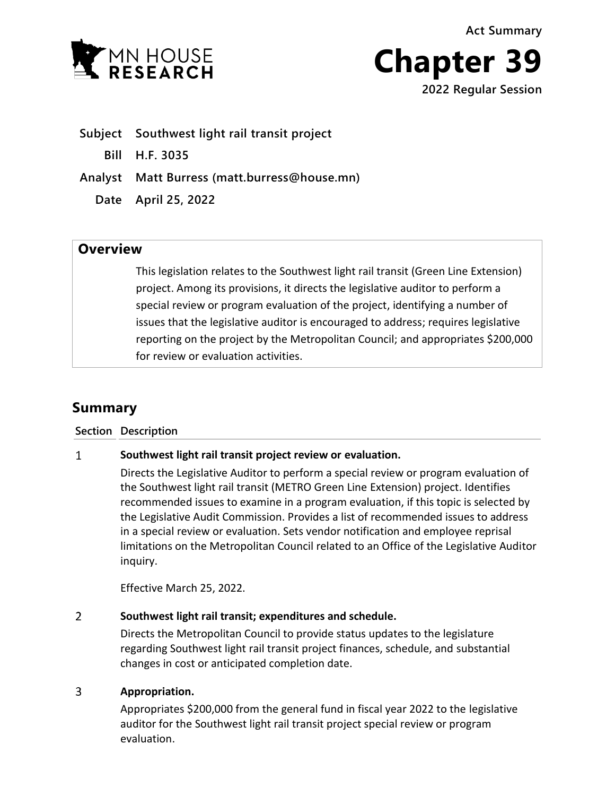MN HOUSE



- **Subject Southwest light rail transit project**
	- **Bill H.F. 3035**
- **Analyst Matt Burress (matt.burress@house.mn)**
	- **Date April 25, 2022**

# **Overview**

This legislation relates to the Southwest light rail transit (Green Line Extension) project. Among its provisions, it directs the legislative auditor to perform a special review or program evaluation of the project, identifying a number of issues that the legislative auditor is encouraged to address; requires legislative reporting on the project by the Metropolitan Council; and appropriates \$200,000 for review or evaluation activities.

# **Summary**

### **Section Description**

#### $\mathbf{1}$ **Southwest light rail transit project review or evaluation.**

Directs the Legislative Auditor to perform a special review or program evaluation of the Southwest light rail transit (METRO Green Line Extension) project. Identifies recommended issues to examine in a program evaluation, if this topic is selected by the Legislative Audit Commission. Provides a list of recommended issues to address in a special review or evaluation. Sets vendor notification and employee reprisal limitations on the Metropolitan Council related to an Office of the Legislative Auditor inquiry.

Effective March 25, 2022.

#### $\overline{2}$ **Southwest light rail transit; expenditures and schedule.**

Directs the Metropolitan Council to provide status updates to the legislature regarding Southwest light rail transit project finances, schedule, and substantial changes in cost or anticipated completion date.

#### $\overline{3}$ **Appropriation.**

Appropriates \$200,000 from the general fund in fiscal year 2022 to the legislative auditor for the Southwest light rail transit project special review or program evaluation.